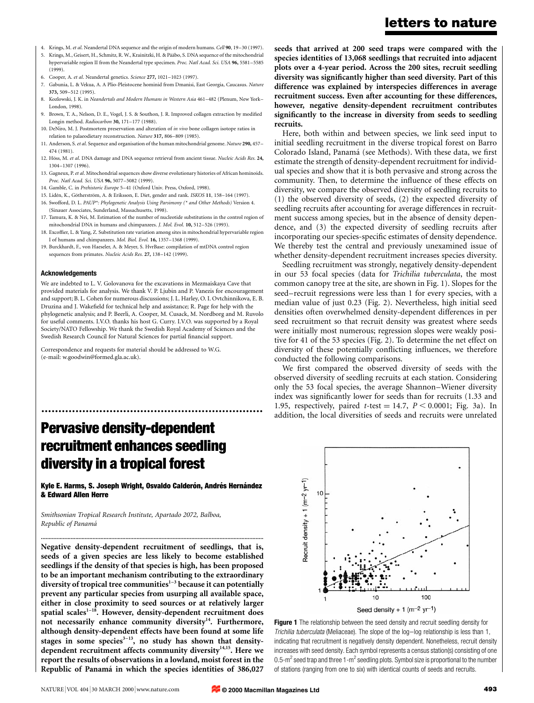- 4. Krings, M. et al. Neandertal DNA sequence and the origin of modern humans. Cell 90, 19-30 (1997).
- 5. Krings, M., Geisert, H., Schmitz, R. W., Krainitzki, H. & Pääbo, S. DNA sequence of the mitochondrial hypervariable region II from the Neandertal type specimen. Proc. Natl Acad. Sci. USA 96, 5581-5585 (1999).
- 6. Cooper, A. et al. Neandertal genetics. Science 277, 1021-1023 (1997).
- 7. Gabunia, L. & Vekua, A. A Plio-Pleistocene hominid from Dmanisi, East Georgia, Caucasus. Nature 373, 509±512 (1995).
- 8. Kozlowski, J. K. in Neandertals and Modern Humans in Western Asia 461–482 (Plenum, New York-London, 1998).
- 9. Brown, T. A., Nelson, D. E., Vogel, J. S. & Southon, J. R. Improved collagen extraction by modified Longin method. Radiocarbon 30, 171-177 (1988).
- 10. DeNiro, M. J. Postmortem preservation and alteration of in vivo bone collagen isotope ratios in relation to palaeodietary reconstruction. Nature 317, 806-809 (1985).
- 11. Anderson, S. et al. Sequence and organisation of the human mitochondrial genome. Nature 290, 457 474 (1981).
- 12. Höss, M. et al. DNA damage and DNA sequence retrieval from ancient tissue. Nucleic Acids Res. 24, 1304±1307 (1996).
- 13. Gagneux, P. et al. Mitochondrial sequences show diverse evolutionary histories of African hominoids. Proc. Natl Acad. Sci. USA 96, 5077-5082 (1999).
- 14. Gamble, C. in Prehistoric Europe 5-41 (Oxford Univ. Press, Oxford, 1998).
- 15. Lidén, K., Götherström, A. & Eriksson, E. Diet, gender and rank. ISKOS 11, 158-164 (1997).
- 16. Swofford, D. L. PAUP\*: Phylogenetic Analysis Using Parsimony (\* and Other Methods) Version 4. (Sinauer Associates, Sunderland, Massachusetts, 1998).
- 17. Tamura, K. & Nei, M. Estimation of the number of nucleotide substitutions in the control region of mitochondrial DNA in humans and chimpanzees. J. Mol. Evol. 10, 512-526 (1993).
- 18. Excoffier, L. & Yang, Z. Substitution rate variation among sites in mitochondrial hypervariable region I of humans and chimpanzees. Mol. Biol. Evol. 16, 1357-1368 (1999).
- 19. Burckhardt, F., von Haeseler, A. & Meyer, S. HvrBase: compilation of mtDNA control region sequences from primates. Nucleic Acids Res. 27, 138-142 (1999).

### Acknowledgements

We are indebted to L. V. Golovanova for the excavations in Mezmaiskaya Cave that provided materials for analysis. We thank V. P. Ljubin and P. Vanezis for encouragement and support; B. L. Cohen for numerous discussions; J. L. Harley, O. I. Ovtchinnikova, E. B. Druzina and J. Wakefield for technical help and assistance; R. Page for help with the phylogenetic analysis; and P. Beerli, A. Cooper, M. Cusack, M. Nordborg and M. Ruvolo for useful comments. I.V.O. thanks his host G. Curry. I.V.O. was supported by a Royal Society/NATO Fellowship. We thank the Swedish Royal Academy of Sciences and the Swedish Research Council for Natural Sciences for partial financial support.

Correspondence and requests for material should be addressed to W.G. (e-mail: w.goodwin@formed.gla.ac.uk).

# Pervasive density-dependent recruitment enhances seedling diversity in a tropical forest

Kyle E. Harms, S. Joseph Wright, Osvaldo Calderón, Andrés Hernández & Edward Allen Herre

..............................................................................................................................................

.................................................................

Smithsonian Tropical Research Institute, Apartado 2072, Balboa, Republic of Panamá

Negative density-dependent recruitment of seedlings, that is, seeds of a given species are less likely to become established seedlings if the density of that species is high, has been proposed to be an important mechanism contributing to the extraordinary diversity of tropical tree communities $1-3$  because it can potentially prevent any particular species from usurping all available space, either in close proximity to seed sources or at relatively larger spatial scales $1-18$ . However, density-dependent recruitment does not necessarily enhance community diversity<sup>14</sup>. Furthermore, although density-dependent effects have been found at some life stages in some species $3-13$ , no study has shown that densitydependent recruitment affects community diversity<sup>14,15</sup>. Here we report the results of observations in a lowland, moist forest in the Republic of Panamá in which the species identities of 386,027

seeds that arrived at 200 seed traps were compared with the species identities of 13,068 seedlings that recruited into adjacent plots over a 4-year period. Across the 200 sites, recruit seedling diversity was significantly higher than seed diversity. Part of this difference was explained by interspecies differences in average recruitment success. Even after accounting for these differences, however, negative density-dependent recruitment contributes significantly to the increase in diversity from seeds to seedling recruits.

Here, both within and between species, we link seed input to initial seedling recruitment in the diverse tropical forest on Barro Colorado Island, Panamá (see Methods). With these data, we first estimate the strength of density-dependent recruitment for individual species and show that it is both pervasive and strong across the community. Then, to determine the influence of these effects on diversity, we compare the observed diversity of seedling recruits to (1) the observed diversity of seeds, (2) the expected diversity of seedling recruits after accounting for average differences in recruitment success among species, but in the absence of density dependence, and (3) the expected diversity of seedling recruits after incorporating our species-specific estimates of density dependence. We thereby test the central and previously unexamined issue of whether density-dependent recruitment increases species diversity.

Seedling recruitment was strongly, negatively density-dependent in our 53 focal species (data for Trichilia tuberculata, the most common canopy tree at the site, are shown in Fig. 1). Slopes for the seed-recruit regressions were less than 1 for every species, with a median value of just 0.23 (Fig. 2). Nevertheless, high initial seed densities often overwhelmed density-dependent differences in per seed recruitment so that recruit density was greatest where seeds were initially most numerous; regression slopes were weakly positive for 41 of the 53 species (Fig. 2). To determine the net effect on diversity of these potentially conflicting influences, we therefore conducted the following comparisons.

We first compared the observed diversity of seeds with the observed diversity of seedling recruits at each station. Considering only the 53 focal species, the average Shannon-Wiener diversity index was significantly lower for seeds than for recruits (1.33 and 1.95, respectively, paired  $t$ -test = 14.7,  $P < 0.0001$ ; Fig. 3a). In addition, the local diversities of seeds and recruits were unrelated



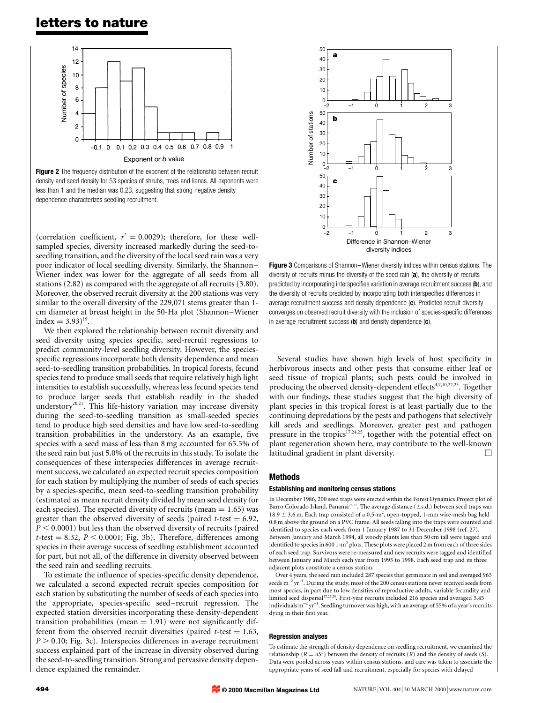# letters to nature



Figure 2 The frequency distribution of the exponent of the relationship between recruit density and seed density for 53 species of shrubs, trees and lianas. All exponents were less than 1 and the median was 0.23, suggesting that strong negative density dependence characterizes seedling recruitment.

(correlation coefficient,  $r^2 = 0.0029$ ); therefore, for these wellsampled species, diversity increased markedly during the seed-toseedling transition, and the diversity of the local seed rain was a very poor indicator of local seedling diversity. Similarly, the Shannon-Wiener index was lower for the aggregate of all seeds from all stations (2.82) as compared with the aggregate of all recruits (3.80). Moreover, the observed recruit diversity at the 200 stations was very similar to the overall diversity of the 229,071 stems greater than 1 cm diameter at breast height in the 50-Ha plot (Shannon-Wiener index =  $3.93$ <sup>19</sup>.

We then explored the relationship between recruit diversity and seed diversity using species specific, seed-recruit regressions to predict community-level seedling diversity. However, the speciesspecific regressions incorporate both density dependence and mean seed-to-seedling transition probabilities. In tropical forests, fecund species tend to produce small seeds that require relatively high light intensities to establish successfully, whereas less fecund species tend to produce larger seeds that establish readily in the shaded understory<sup>20,21</sup>. This life-history variation may increase diversity during the seed-to-seedling transition as small-seeded species tend to produce high seed densities and have low seed-to-seedling transition probabilities in the understory. As an example, five species with a seed mass of less than 8 mg accounted for 65.5% of the seed rain but just 5.0% of the recruits in this study. To isolate the consequences of these interspecies differences in average recruitment success, we calculated an expected recruit species composition for each station by multiplying the number of seeds of each species by a species-specific, mean seed-to-seedling transition probability (estimated as mean recruit density divided by mean seed density for each species). The expected diversity of recruits (mean  $= 1.65$ ) was greater than the observed diversity of seeds (paired  $t$ -test = 6.92,  $P < 0.0001$ ) but less than the observed diversity of recruits (paired  $t$ -test = 8.32,  $P < 0.0001$ ; Fig. 3b). Therefore, differences among species in their average success of seedling establishment accounted for part, but not all, of the difference in diversity observed between the seed rain and seedling recruits.

To estimate the influence of species-specific density dependence, we calculated a second expected recruit species composition for each station by substituting the number of seeds of each species into the appropriate, species-specific seed-recruit regression. The expected station diversities incorporating these density-dependent transition probabilities (mean  $= 1.91$ ) were not significantly different from the observed recruit diversities (paired  $t$ -test  $= 1.63$ ,  $P > 0.10$ ; Fig. 3c). Interspecies differences in average recruitment success explained part of the increase in diversity observed during the seed-to-seedling transition. Strong and pervasive density dependence explained the remainder.



Figure 3 Comparisons of Shannon-Wiener diversity indices within census stations. The diversity of recruits minus the diversity of the seed rain (a), the diversity of recruits predicted by incorporating interspecifies variation in average recruitment success (b), and the diversity of recruits predicted by incorporating both interspecifies differences in average recruitment success and density dependence (c). Predicted recruit diversity converges on observed recruit diversity with the inclusion of species-specific differences in average recruitment success  $(b)$  and density dependence  $(c)$ .

Several studies have shown high levels of host specificity in herbivorous insects and other pests that consume either leaf or seed tissue of tropical plants; such pests could be involved in producing the observed density-dependent effects<sup>4,7,10,22,23</sup>. Together with our findings, these studies suggest that the high diversity of plant species in this tropical forest is at least partially due to the continuing depredations by the pests and pathogens that selectively kill seeds and seedlings. Moreover, greater pest and pathogen pressure in the tropics<sup>17,24,25</sup>, together with the potential effect on plant regeneration shown here, may contribute to the well-known latitudinal gradient in plant diversity.

# Methods

#### Establishing and monitoring census stations

In December 1986, 200 seed traps were erected within the Forest Dynamics Project plot of Barro Colorado Island, Panama<sup>26,27</sup>. The average distance ( $\pm$ s.d.) between seed traps was 18.9  $\pm$  3.6 m. Each trap consisted of a 0.5-m<sup>2</sup>, open-topped, 1-mm wire-mesh bag held 0.8 m above the ground on a PVC frame. All seeds falling into the traps were counted and identified to species each week from 1 January 1987 to 31 December 1998 (ref. 27). Between January and March 1994, all woody plants less than 50 cm tall were tagged and identified to species in 600 1-m<sup>2</sup> plots. These plots were placed 2 m from each of three sides of each seed trap. Survivors were re-measured and new recruits were tagged and identified between January and March each year from 1995 to 1998. Each seed trap and its three adjacent plots constitute a census station.

Over 4 years, the seed rain included 287 species that germinate in soil and averaged 965 seeds  $\mathrm{m}^{-2}\,\mathrm{yr}^{-1}$ . During the study, most of the 200 census stations never received seeds from most species, in part due to low densities of reproductive adults, variable fecundity and limited seed dispersal<sup>17,27,28</sup>. First-year recruits included 216 species and averaged 5.45 individuals  $\mathrm{m}^{-2}\,\mathrm{yr}^{-1}.$  Seedling turnover was high, with an average of 55% of a year's recruits dying in their first year.

#### Regression analyses

To estimate the strength of density dependence on seedling recruitment, we examined the relationship ( $R = aS<sup>b</sup>$ ) between the density of recruits (R) and the density of seeds (S). Data were pooled across years within census stations, and care was taken to associate the appropriate years of seed fall and recruitment, especially for species with delayed